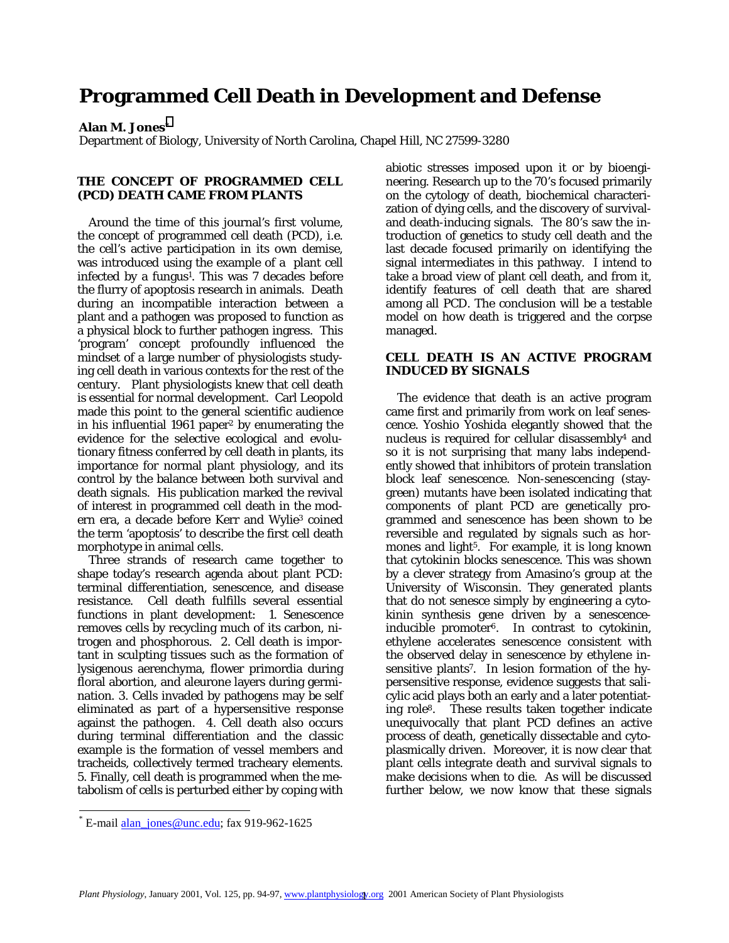# **Programmed Cell Death in Development and Defense**

## **Alan M. Jones\***

Department of Biology, University of North Carolina, Chapel Hill, NC 27599-3280

#### **THE CONCEPT OF PROGRAMMED CELL (PCD) DEATH CAME FROM PLANTS**

 Around the time of this journal's first volume, the concept of programmed cell death (PCD), i.e. the cell's active participation in its own demise, was introduced using the example of a plant cell infected by a fungus<sup>1</sup>. This was  $7$  decades before the flurry of apoptosis research in animals. Death during an incompatible interaction between a plant and a pathogen was proposed to function as a physical block to further pathogen ingress. This 'program' concept profoundly influenced the mindset of a large number of physiologists studying cell death in various contexts for the rest of the century. Plant physiologists knew that cell death is essential for normal development. Carl Leopold made this point to the general scientific audience in his influential 1961 paper2 by enumerating the evidence for the selective ecological and evolutionary fitness conferred by cell death in plants, its importance for normal plant physiology, and its control by the balance between both survival and death signals. His publication marked the revival of interest in programmed cell death in the modern era, a decade before Kerr and Wylie<sup>3</sup> coined the term 'apoptosis' to describe the first cell death morphotype in animal cells.

 Three strands of research came together to shape today's research agenda about plant PCD: terminal differentiation, senescence, and disease resistance. Cell death fulfills several essential functions in plant development: 1. Senescence removes cells by recycling much of its carbon, nitrogen and phosphorous. 2. Cell death is important in sculpting tissues such as the formation of lysigenous aerenchyma, flower primordia during floral abortion, and aleurone layers during germination. 3. Cells invaded by pathogens may be self eliminated as part of a hypersensitive response against the pathogen. 4. Cell death also occurs during terminal differentiation and the classic example is the formation of vessel members and tracheids, collectively termed tracheary elements. 5. Finally, cell death is programmed when the metabolism of cells is perturbed either by coping with

abiotic stresses imposed upon it or by bioengineering. Research up to the 70's focused primarily on the cytology of death, biochemical characterization of dying cells, and the discovery of survivaland death-inducing signals. The 80's saw the introduction of genetics to study cell death and the last decade focused primarily on identifying the signal intermediates in this pathway. I intend to take a broad view of plant cell death, and from it, identify features of cell death that are shared among all PCD. The conclusion will be a testable model on how death is triggered and the corpse managed.

# **CELL DEATH IS AN ACTIVE PROGRAM INDUCED BY SIGNALS**

 The evidence that death is an active program came first and primarily from work on leaf senescence. Yoshio Yoshida elegantly showed that the nucleus is required for cellular disassembly4 and so it is not surprising that many labs independently showed that inhibitors of protein translation block leaf senescence. Non-senescencing (staygreen) mutants have been isolated indicating that components of plant PCD are genetically programmed and senescence has been shown to be reversible and regulated by signals such as hormones and light<sup>5</sup>. For example, it is long known that cytokinin blocks senescence. This was shown by a clever strategy from Amasino's group at the University of Wisconsin. They generated plants that do not senesce simply by engineering a cytokinin synthesis gene driven by a senescenceinducible promoter6. In contrast to cytokinin, ethylene accelerates senescence consistent with the observed delay in senescence by ethylene insensitive plants7. In lesion formation of the hypersensitive response, evidence suggests that salicylic acid plays both an early and a later potentiating role8. These results taken together indicate unequivocally that plant PCD defines an active process of death, genetically dissectable and cytoplasmically driven. Moreover, it is now clear that plant cells integrate death and survival signals to make decisions *when* to die. As will be discussed further below, we now know that these signals

l

 $E$ -mail alan\_jones@unc.edu; fax 919-962-1625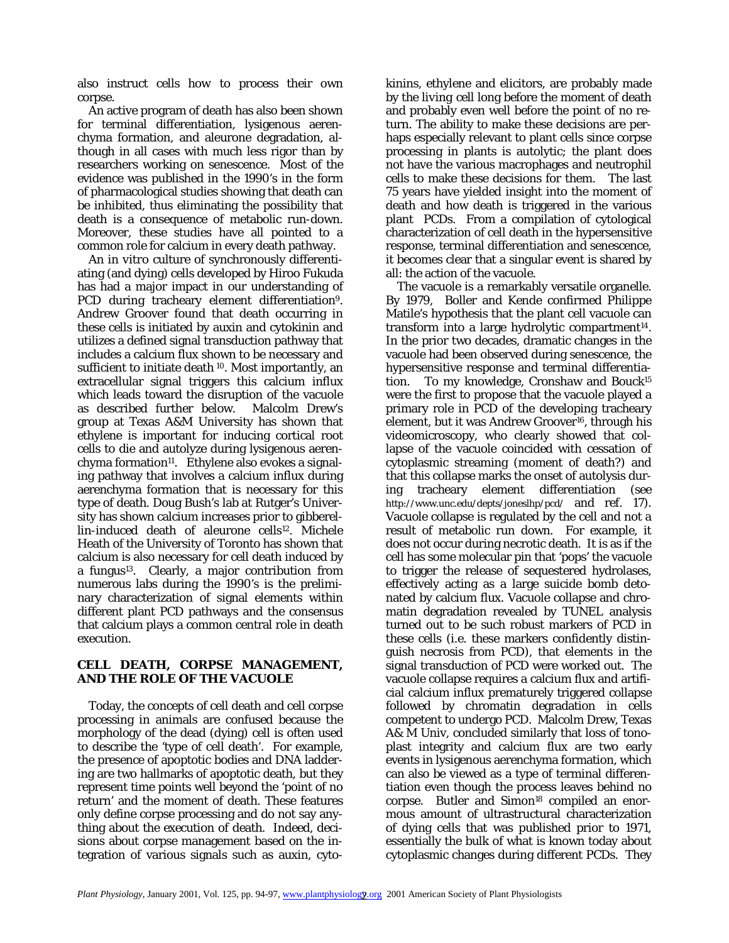also instruct cells *how* to process their own corpse.

 An active program of death has also been shown for terminal differentiation, lysigenous aerenchyma formation, and aleurone degradation, although in all cases with much less rigor than by researchers working on senescence. Most of the evidence was published in the 1990's in the form of pharmacological studies showing that death can be inhibited, thus eliminating the possibility that death is a consequence of metabolic run-down. Moreover, these studies have all pointed to a common role for calcium in every death pathway.

 An *in vitro* culture of synchronously differentiating (and dying) cells developed by Hiroo Fukuda has had a major impact in our understanding of PCD during tracheary element differentiation<sup>9</sup>. Andrew Groover found that death occurring in these cells is initiated by auxin and cytokinin and utilizes a defined signal transduction pathway that includes a calcium flux shown to be necessary and sufficient to initiate death <sup>10</sup>. Most importantly, an extracellular signal triggers this calcium influx which leads toward the disruption of the vacuole as described further below. Malcolm Drew's group at Texas A&M University has shown that ethylene is important for inducing cortical root cells to die and autolyze during lysigenous aerenchyma formation<sup>11</sup>. Ethylene also evokes a signaling pathway that involves a calcium influx during aerenchyma formation that is necessary for this type of death. Doug Bush's lab at Rutger's University has shown calcium increases prior to gibberellin-induced death of aleurone cells<sup>12</sup>. Michele Heath of the University of Toronto has shown that calcium is also necessary for cell death induced by a fungus13. Clearly, a major contribution from numerous labs during the 1990's is the preliminary characterization of signal elements within different plant PCD pathways and the consensus that calcium plays a common central role in death execution.

# **CELL DEATH, CORPSE MANAGEMENT, AND THE ROLE OF THE VACUOLE**

 Today, the concepts of cell death and cell corpse processing in animals are confused because the morphology of the dead (dying) cell is often used to describe the 'type of cell death'. For example, the presence of apoptotic bodies and DNA laddering are two hallmarks of apoptotic death, but they represent time points well beyond the 'point of no return' and the moment of death. These features only define corpse processing and do not say anything about the *execution* of death. Indeed, decisions about corpse management based on the integration of various signals such as auxin, cytokinins, ethylene and elicitors, are probably made by the *living* cell long before the moment of death and probably even well before the point of no return. The ability to make these decisions are perhaps especially relevant to plant cells since corpse processing in plants is autolytic; the plant does not have the various macrophages and neutrophil cells to make these decisions for them. The last 75 years have yielded insight into the moment of death and how death is triggered in the various plant PCDs. From a compilation of cytological characterization of cell death in the hypersensitive response, terminal differentiation and senescence, it becomes clear that a singular event is shared by all: the action of the vacuole.

 The vacuole is a remarkably versatile organelle. By 1979, Boller and Kende confirmed Philippe Matile's hypothesis that the plant cell vacuole can transform into a large hydrolytic compartment<sup>14</sup>. In the prior two decades, dramatic changes in the vacuole had been observed during senescence, the hypersensitive response and terminal differentiation. To my knowledge, Cronshaw and Bouck15 were the first to propose that the vacuole played a primary role in PCD of the developing tracheary element, but it was Andrew Groover16, through his videomicroscopy, who clearly showed that collapse of the vacuole coincided with cessation of cytoplasmic streaming (moment of death?) and that this collapse marks the onset of autolysis during tracheary element differentiation (see http://www.unc.edu/depts/joneslhp/pcd/ and ref. 17). Vacuole collapse is regulated by the cell and not a result of metabolic run down. For example, it does not occur during necrotic death. It is as if the cell has some molecular pin that 'pops' the vacuole to trigger the release of sequestered hydrolases, effectively acting as a large suicide bomb detonated by calcium flux. Vacuole collapse and chromatin degradation revealed by TUNEL analysis turned out to be such robust markers of PCD in these cells (i.e. these markers confidently distinguish necrosis from PCD), that elements in the signal transduction of PCD were worked out. The vacuole collapse requires a calcium flux and artificial calcium influx prematurely triggered collapse followed by chromatin degradation in cells competent to undergo PCD. Malcolm Drew, Texas A& M Univ, concluded similarly that loss of tonoplast integrity and calcium flux are two early events in lysigenous aerenchyma formation, which can also be viewed as a type of terminal differentiation even though the process leaves behind no corpse. Butler and Simon<sup>18</sup> compiled an enormous amount of ultrastructural characterization of dying cells that was published prior to 1971, essentially the bulk of what is known today about cytoplasmic changes during different PCDs. They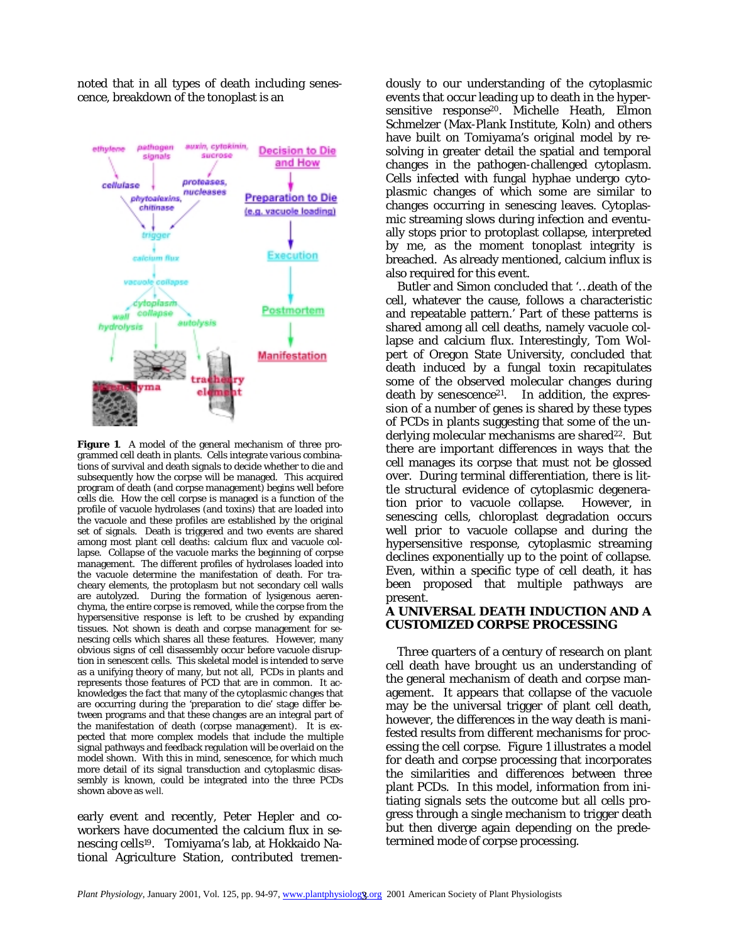noted that in all types of death including senescence, breakdown of the tonoplast is an



**Figure 1**. A model of the general mechanism of three programmed cell death in plants. Cells integrate various combinations of survival and death signals to decide whether to die and subsequently how the corpse will be managed. This acquired program of death (and corpse management) begins well before cells die. How the cell corpse is managed is a function of the profile of vacuole hydrolases (and toxins) that are loaded into the vacuole and these profiles are established by the original set of signals. Death is triggered and two events are shared among most plant cell deaths: calcium flux and vacuole collapse. Collapse of the vacuole marks the beginning of corpse management. The different profiles of hydrolases loaded into the vacuole determine the manifestation of death. For tracheary elements, the protoplasm but not secondary cell walls are autolyzed. During the formation of lysigenous aerenchyma, the entire corpse is removed, while the corpse from the hypersensitive response is left to be crushed by expanding tissues. Not shown is death and corpse management for senescing cells which shares all these features. However, many obvious signs of cell disassembly occur before vacuole disruption in senescent cells. This skeletal model is intended to serve as a unifying theory of many, but not all, PCDs in plants and represents those features of PCD that are in common. It acknowledges the fact that many of the cytoplasmic changes that are occurring during the 'preparation to die' stage differ between programs and that these changes are an integral part of the manifestation of death (corpse management). It is expected that more complex models that include the multiple signal pathways and feedback regulation will be overlaid on the model shown. With this in mind, senescence, for which much more detail of its signal transduction and cytoplasmic disassembly is known, could be integrated into the three PCDs shown above as well.

early event and recently, Peter Hepler and coworkers have documented the calcium flux in senescing cells19. Tomiyama's lab, at Hokkaido National Agriculture Station, contributed tremen-

dously to our understanding of the cytoplasmic events that occur leading up to death in the hypersensitive response<sup>20</sup>. Michelle Heath, Elmon Schmelzer (Max-Plank Institute, Koln) and others have built on Tomiyama's original model by resolving in greater detail the spatial and temporal changes in the pathogen-challenged cytoplasm. Cells infected with fungal hyphae undergo cytoplasmic changes of which some are similar to changes occurring in senescing leaves. Cytoplasmic streaming slows during infection and eventually stops prior to protoplast collapse, interpreted by me, as the moment tonoplast integrity is breached. As already mentioned, calcium influx is also required for this event.

 Butler and Simon concluded that '…death of the cell, whatever the cause, follows a characteristic and repeatable pattern.' Part of these patterns is shared among all cell deaths, namely vacuole collapse and calcium flux. Interestingly, Tom Wolpert of Oregon State University, concluded that death induced by a fungal toxin recapitulates some of the observed molecular changes during death by senescence<sup>21</sup>. In addition, the expression of a number of genes is shared by these types of PCDs in plants suggesting that some of the underlying molecular mechanisms are shared<sup>22</sup>. But there are important differences in ways that the cell manages its corpse that must not be glossed over. During terminal differentiation, there is little structural evidence of cytoplasmic degeneration prior to vacuole collapse. However, in senescing cells, chloroplast degradation occurs well prior to vacuole collapse and during the hypersensitive response, cytoplasmic streaming declines exponentially up to the point of collapse. Even, within a specific type of cell death, it has been proposed that multiple pathways are present.

#### **A UNIVERSAL DEATH INDUCTION AND A CUSTOMIZED CORPSE PROCESSING**

 Three quarters of a century of research on plant cell death have brought us an understanding of the general mechanism of death and corpse management. It appears that collapse of the vacuole may be the universal trigger of plant cell death, however, the differences in the way death is manifested results from different mechanisms for processing the cell corpse. Figure 1 illustrates a model for death and corpse processing that incorporates the similarities and differences between three plant PCDs. In this model, information from initiating signals sets the outcome but all cells progress through a single mechanism to trigger death but then diverge again depending on the predetermined mode of corpse processing.